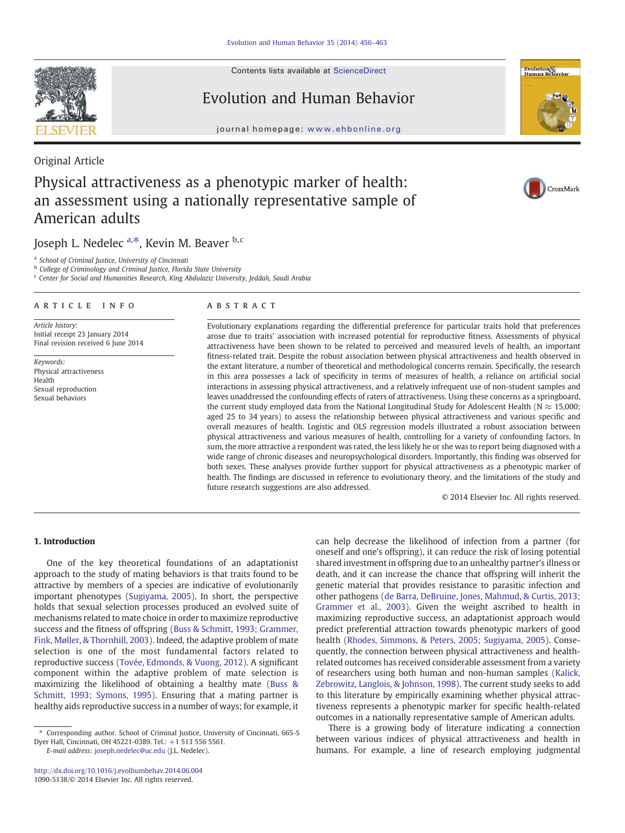Contents lists available at ScienceDirect

# Evolution and Human Behavior

journal homepage: www.ehbonline.org

# Original Article

# Physical attractiveness as a phenotypic marker of health: an assessment using a nationally representative sample of American adults

Joseph L. Nedelec  $a, *$ , Kevin M. Beaver  $b, c$ 

a *School of Criminal Justice, University of Cincinnati*

b *College of Criminology and Criminal Justice, Florida State University*

c *Center for Social and Humanities Research, King Abdulaziz University, Jeddah, Saudi Arabia*

## article info abstract

*Article history:* Initial receipt 23 January 2014 Final revision received 6 June 2014

*Keywords:* Physical attractiveness Health Sexual reproduction Sexual behaviors

Evolutionary explanations regarding the differential preference for particular traits hold that preferences arose due to traits' association with increased potential for reproductive fitness. Assessments of physical attractiveness have been shown to be related to perceived and measured levels of health, an important fitness-related trait. Despite the robust association between physical attractiveness and health observed in the extant literature, a number of theoretical and methodological concerns remain. Specifically, the research in this area possesses a lack of specificity in terms of measures of health, a reliance on artificial social interactions in assessing physical attractiveness, and a relatively infrequent use of non-student samples and leaves unaddressed the confounding effects of raters of attractiveness. Using these concerns as a springboard, the current study employed data from the National Longitudinal Study for Adolescent Health ( $N \approx 15,000$ ; aged 25 to 34 years) to assess the relationship between physical attractiveness and various specific and overall measures of health. Logistic and OLS regression models illustrated a robust association between physical attractiveness and various measures of health, controlling for a variety of confounding factors. In sum, the more attractive a respondent was rated, the less likely he or she was to report being diagnosed with a wide range of chronic diseases and neuropsychological disorders. Importantly, this finding was observed for both sexes. These analyses provide further support for physical attractiveness as a phenotypic marker of health. The findings are discussed in reference to evolutionary theory, and the limitations of the study and future research suggestions are also addressed.

© 2014 Elsevier Inc. All rights reserved.

# 1. Introduction

One of the key theoretical foundations of an adaptationist approach to the study of mating behaviors is that traits found to be attractive by members of a species are indicative of evolutionarily important phenotypes (Sugiyama, 2005). In short, the perspective holds that sexual selection processes produced an evolved suite of mechanisms related to mate choice in order to maximize reproductive success and the fitness of offspring (Buss & Schmitt, 1993; Grammer, Fink, Møller, & Thornhill, 2003). Indeed, the adaptive problem of mate selection is one of the most fundamental factors related to reproductive success (Tovée, Edmonds, & Vuong, 2012). A significant component within the adaptive problem of mate selection is maximizing the likelihood of obtaining a healthy mate (Buss & Schmitt, 1993; Symons, 1995). Ensuring that a mating partner is healthy aids reproductive success in a number of ways; for example, it

*E-mail address:* joseph.nedelec@uc.edu (J.L. Nedelec).

can help decrease the likelihood of infection from a partner (for oneself and one's offspring), it can reduce the risk of losing potential shared investment in offspring due to an unhealthy partner's illness or death, and it can increase the chance that offspring will inherit the genetic material that provides resistance to parasitic infection and other pathogens (de Barra, DeBruine, Jones, Mahmud, & Curtis, 2013; Grammer et al., 2003). Given the weight ascribed to health in maximizing reproductive success, an adaptationist approach would predict preferential attraction towards phenotypic markers of good health (Rhodes, Simmons, & Peters, 2005; Sugiyama, 2005). Consequently, the connection between physical attractiveness and healthrelated outcomes has received considerable assessment from a variety of researchers using both human and non-human samples (Kalick, Zebrowitz, Langlois, & Johnson, 1998). The current study seeks to add to this literature by empirically examining whether physical attractiveness represents a phenotypic marker for specific health-related outcomes in a nationally representative sample of American adults.

There is a growing body of literature indicating a connection between various indices of physical attractiveness and health in humans. For example, a line of research employing judgmental





CrossMark



<sup>⁎</sup> Corresponding author. School of Criminal Justice, University of Cincinnati, 665-S Dyer Hall, Cincinnati, OH 45221-0389. Tel.: +1 513 556 5561.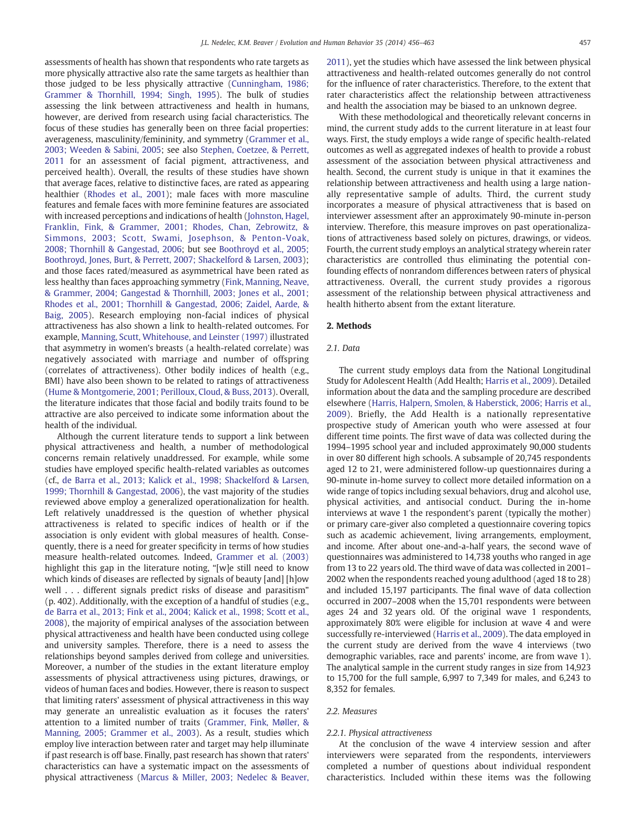assessments of health has shown that respondents who rate targets as more physically attractive also rate the same targets as healthier than those judged to be less physically attractive (Cunningham, 1986; Grammer & Thornhill, 1994; Singh, 1995). The bulk of studies assessing the link between attractiveness and health in humans, however, are derived from research using facial characteristics. The focus of these studies has generally been on three facial properties: averageness, masculinity/femininity, and symmetry (Grammer et al., 2003; Weeden & Sabini, 2005; see also Stephen, Coetzee, & Perrett, 2011 for an assessment of facial pigment, attractiveness, and perceived health). Overall, the results of these studies have shown that average faces, relative to distinctive faces, are rated as appearing healthier (Rhodes et al., 2001); male faces with more masculine features and female faces with more feminine features are associated with increased perceptions and indications of health (Johnston, Hagel, Franklin, Fink, & Grammer, 2001; Rhodes, Chan, Zebrowitz, & Simmons, 2003; Scott, Swami, Josephson, & Penton-Voak, 2008; Thornhill & Gangestad, 2006; but see Boothroyd et al., 2005; Boothroyd, Jones, Burt, & Perrett, 2007; Shackelford & Larsen, 2003); and those faces rated/measured as asymmetrical have been rated as less healthy than faces approaching symmetry (Fink, Manning, Neave, & Grammer, 2004; Gangestad & Thornhill, 2003; Jones et al., 2001; Rhodes et al., 2001; Thornhill & Gangestad, 2006; Zaidel, Aarde, & Baig, 2005). Research employing non-facial indices of physical attractiveness has also shown a link to health-related outcomes. For example, Manning, Scutt, Whitehouse, and Leinster (1997) illustrated that asymmetry in women's breasts (a health-related correlate) was negatively associated with marriage and number of offspring (correlates of attractiveness). Other bodily indices of health (e.g., BMI) have also been shown to be related to ratings of attractiveness (Hume & Montgomerie, 2001; Perilloux, Cloud, & Buss, 2013). Overall, the literature indicates that those facial and bodily traits found to be attractive are also perceived to indicate some information about the health of the individual.

Although the current literature tends to support a link between physical attractiveness and health, a number of methodological concerns remain relatively unaddressed. For example, while some studies have employed specific health-related variables as outcomes (cf., de Barra et al., 2013; Kalick et al., 1998; Shackelford & Larsen, 1999; Thornhill & Gangestad, 2006), the vast majority of the studies reviewed above employ a generalized operationalization for health. Left relatively unaddressed is the question of whether physical attractiveness is related to specific indices of health or if the association is only evident with global measures of health. Consequently, there is a need for greater specificity in terms of how studies measure health-related outcomes. Indeed, Grammer et al. (2003) highlight this gap in the literature noting, "[w]e still need to know which kinds of diseases are reflected by signals of beauty [and] [h]ow well . . . different signals predict risks of disease and parasitism" (p. 402). Additionally, with the exception of a handful of studies (e.g., de Barra et al., 2013; Fink et al., 2004; Kalick et al., 1998; Scott et al., 2008), the majority of empirical analyses of the association between physical attractiveness and health have been conducted using college and university samples. Therefore, there is a need to assess the relationships beyond samples derived from college and universities. Moreover, a number of the studies in the extant literature employ assessments of physical attractiveness using pictures, drawings, or videos of human faces and bodies. However, there is reason to suspect that limiting raters' assessment of physical attractiveness in this way may generate an unrealistic evaluation as it focuses the raters' attention to a limited number of traits (Grammer, Fink, Møller, & Manning, 2005; Grammer et al., 2003). As a result, studies which employ live interaction between rater and target may help illuminate if past research is off base. Finally, past research has shown that raters' characteristics can have a systematic impact on the assessments of physical attractiveness (Marcus & Miller, 2003; Nedelec & Beaver, 2011), yet the studies which have assessed the link between physical attractiveness and health-related outcomes generally do not control for the influence of rater characteristics. Therefore, to the extent that rater characteristics affect the relationship between attractiveness and health the association may be biased to an unknown degree.

With these methodological and theoretically relevant concerns in mind, the current study adds to the current literature in at least four ways. First, the study employs a wide range of specific health-related outcomes as well as aggregated indexes of health to provide a robust assessment of the association between physical attractiveness and health. Second, the current study is unique in that it examines the relationship between attractiveness and health using a large nationally representative sample of adults. Third, the current study incorporates a measure of physical attractiveness that is based on interviewer assessment after an approximately 90-minute in-person interview. Therefore, this measure improves on past operationalizations of attractiveness based solely on pictures, drawings, or videos. Fourth, the current study employs an analytical strategy wherein rater characteristics are controlled thus eliminating the potential confounding effects of nonrandom differences between raters of physical attractiveness. Overall, the current study provides a rigorous assessment of the relationship between physical attractiveness and health hitherto absent from the extant literature.

#### 2. Methods

# *2.1. Data*

The current study employs data from the National Longitudinal Study for Adolescent Health (Add Health; Harris et al., 2009). Detailed information about the data and the sampling procedure are described elsewhere (Harris, Halpern, Smolen, & Haberstick, 2006; Harris et al., 2009). Briefly, the Add Health is a nationally representative prospective study of American youth who were assessed at four different time points. The first wave of data was collected during the 1994–1995 school year and included approximately 90,000 students in over 80 different high schools. A subsample of 20,745 respondents aged 12 to 21, were administered follow-up questionnaires during a 90-minute in-home survey to collect more detailed information on a wide range of topics including sexual behaviors, drug and alcohol use, physical activities, and antisocial conduct. During the in-home interviews at wave 1 the respondent's parent (typically the mother) or primary care-giver also completed a questionnaire covering topics such as academic achievement, living arrangements, employment, and income. After about one-and-a-half years, the second wave of questionnaires was administered to 14,738 youths who ranged in age from 13 to 22 years old. The third wave of data was collected in 2001– 2002 when the respondents reached young adulthood (aged 18 to 28) and included 15,197 participants. The final wave of data collection occurred in 2007–2008 when the 15,701 respondents were between ages 24 and 32 years old. Of the original wave 1 respondents, approximately 80% were eligible for inclusion at wave 4 and were successfully re-interviewed (Harris et al., 2009). The data employed in the current study are derived from the wave 4 interviews (two demographic variables, race and parents' income, are from wave 1). The analytical sample in the current study ranges in size from 14,923 to 15,700 for the full sample, 6,997 to 7,349 for males, and 6,243 to 8,352 for females.

#### *2.2. Measures*

#### *2.2.1. Physical attractiveness*

At the conclusion of the wave 4 interview session and after interviewers were separated from the respondents, interviewers completed a number of questions about individual respondent characteristics. Included within these items was the following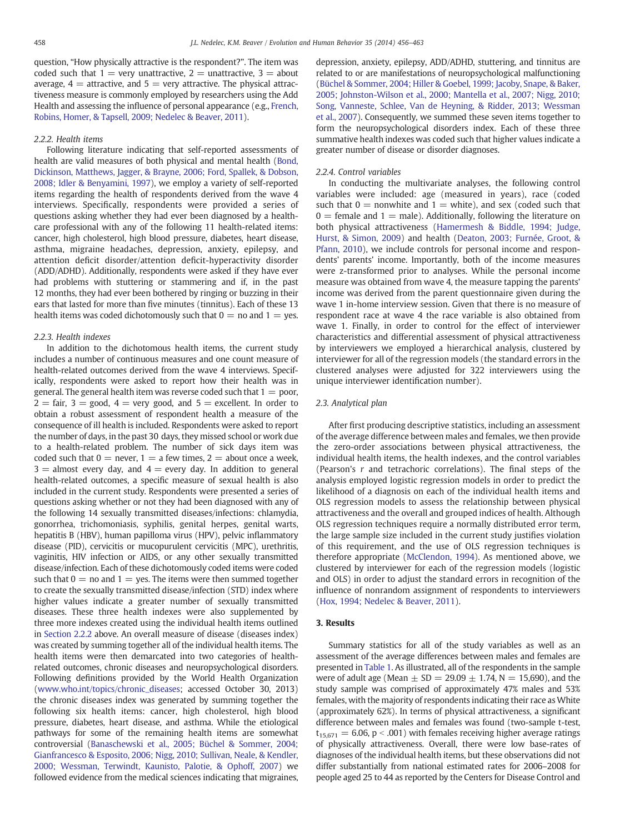question, "How physically attractive is the respondent?". The item was coded such that  $1 =$  very unattractive,  $2 =$  unattractive,  $3 =$  about average,  $4 =$  attractive, and  $5 =$  very attractive. The physical attractiveness measure is commonly employed by researchers using the Add Health and assessing the influence of personal appearance (e.g., French, Robins, Homer, & Tapsell, 2009; Nedelec & Beaver, 2011).

### *2.2.2. Health items*

Following literature indicating that self-reported assessments of health are valid measures of both physical and mental health (Bond, Dickinson, Matthews, Jagger, & Brayne, 2006; Ford, Spallek, & Dobson, 2008; Idler & Benyamini, 1997), we employ a variety of self-reported items regarding the health of respondents derived from the wave 4 interviews. Specifically, respondents were provided a series of questions asking whether they had ever been diagnosed by a healthcare professional with any of the following 11 health-related items: cancer, high cholesterol, high blood pressure, diabetes, heart disease, asthma, migraine headaches, depression, anxiety, epilepsy, and attention deficit disorder/attention deficit-hyperactivity disorder (ADD/ADHD). Additionally, respondents were asked if they have ever had problems with stuttering or stammering and if, in the past 12 months, they had ever been bothered by ringing or buzzing in their ears that lasted for more than five minutes (tinnitus). Each of these 13 health items was coded dichotomously such that  $0 =$  no and  $1 =$  yes.

#### *2.2.3. Health indexes*

In addition to the dichotomous health items, the current study includes a number of continuous measures and one count measure of health-related outcomes derived from the wave 4 interviews. Specifically, respondents were asked to report how their health was in general. The general health item was reverse coded such that  $1 =$  poor,  $2 = \text{fair}$ ,  $3 = \text{good}$ ,  $4 = \text{very good}$ , and  $5 = \text{excellent}$ . In order to obtain a robust assessment of respondent health a measure of the consequence of ill health is included. Respondents were asked to report the number of days, in the past 30 days, they missed school or work due to a health-related problem. The number of sick days item was coded such that  $0 =$  never,  $1 =$  a few times,  $2 =$  about once a week,  $3 =$  almost every day, and  $4 =$  every day. In addition to general health-related outcomes, a specific measure of sexual health is also included in the current study. Respondents were presented a series of questions asking whether or not they had been diagnosed with any of the following 14 sexually transmitted diseases/infections: chlamydia, gonorrhea, trichomoniasis, syphilis, genital herpes, genital warts, hepatitis B (HBV), human papilloma virus (HPV), pelvic inflammatory disease (PID), cervicitis or mucopurulent cervicitis (MPC), urethritis, vaginitis, HIV infection or AIDS, or any other sexually transmitted disease/infection. Each of these dichotomously coded items were coded such that  $0 =$  no and  $1 =$  yes. The items were then summed together to create the sexually transmitted disease/infection (STD) index where higher values indicate a greater number of sexually transmitted diseases. These three health indexes were also supplemented by three more indexes created using the individual health items outlined in Section 2.2.2 above. An overall measure of disease (diseases index) was created by summing together all of the individual health items. The health items were then demarcated into two categories of healthrelated outcomes, chronic diseases and neuropsychological disorders. Following definitions provided by the World Health Organization (www.who.int/topics/chronic\_diseases; accessed October 30, 2013) the chronic diseases index was generated by summing together the following six health items: cancer, high cholesterol, high blood pressure, diabetes, heart disease, and asthma. While the etiological pathways for some of the remaining health items are somewhat controversial (Banaschewski et al., 2005; Büchel & Sommer, 2004; Gianfrancesco & Esposito, 2006; Nigg, 2010; Sullivan, Neale, & Kendler, 2000; Wessman, Terwindt, Kaunisto, Palotie, & Ophoff, 2007) we followed evidence from the medical sciences indicating that migraines,

depression, anxiety, epilepsy, ADD/ADHD, stuttering, and tinnitus are related to or are manifestations of neuropsychological malfunctioning (Büchel & Sommer, 2004; Hiller & Goebel, 1999; Jacoby, Snape, & Baker, 2005; Johnston-Wilson et al., 2000; Mantella et al., 2007; Nigg, 2010; Song, Vanneste, Schlee, Van de Heyning, & Ridder, 2013; Wessman et al., 2007). Consequently, we summed these seven items together to form the neuropsychological disorders index. Each of these three summative health indexes was coded such that higher values indicate a greater number of disease or disorder diagnoses.

#### *2.2.4. Control variables*

In conducting the multivariate analyses, the following control variables were included: age (measured in years), race (coded such that  $0 =$  nonwhite and  $1 =$  white), and sex (coded such that  $0 =$  female and  $1 =$  male). Additionally, following the literature on both physical attractiveness (Hamermesh & Biddle, 1994; Judge, Hurst, & Simon, 2009) and health (Deaton, 2003; Furnée, Groot, & Pfann, 2010), we include controls for personal income and respondents' parents' income. Importantly, both of the income measures were z-transformed prior to analyses. While the personal income measure was obtained from wave 4, the measure tapping the parents' income was derived from the parent questionnaire given during the wave 1 in-home interview session. Given that there is no measure of respondent race at wave 4 the race variable is also obtained from wave 1. Finally, in order to control for the effect of interviewer characteristics and differential assessment of physical attractiveness by interviewers we employed a hierarchical analysis, clustered by interviewer for all of the regression models (the standard errors in the clustered analyses were adjusted for 322 interviewers using the unique interviewer identification number).

### *2.3. Analytical plan*

After first producing descriptive statistics, including an assessment of the average difference between males and females, we then provide the zero-order associations between physical attractiveness, the individual health items, the health indexes, and the control variables (Pearson's *r* and tetrachoric correlations). The final steps of the analysis employed logistic regression models in order to predict the likelihood of a diagnosis on each of the individual health items and OLS regression models to assess the relationship between physical attractiveness and the overall and grouped indices of health. Although OLS regression techniques require a normally distributed error term, the large sample size included in the current study justifies violation of this requirement, and the use of OLS regression techniques is therefore appropriate (McClendon, 1994). As mentioned above, we clustered by interviewer for each of the regression models (logistic and OLS) in order to adjust the standard errors in recognition of the influence of nonrandom assignment of respondents to interviewers (Hox, 1994; Nedelec & Beaver, 2011).

#### 3. Results

Summary statistics for all of the study variables as well as an assessment of the average differences between males and females are presented in Table 1. As illustrated, all of the respondents in the sample were of adult age (Mean  $\pm$  SD = 29.09  $\pm$  1.74, N = 15,690), and the study sample was comprised of approximately 47% males and 53% females, with the majority of respondents indicating their race as White (approximately 62%). In terms of physical attractiveness, a significant difference between males and females was found (two-sample t-test,  $t_{15,671} = 6.06$ , p < .001) with females receiving higher average ratings of physically attractiveness. Overall, there were low base-rates of diagnoses of the individual health items, but these observations did not differ substantially from national estimated rates for 2006–2008 for people aged 25 to 44 as reported by the Centers for Disease Control and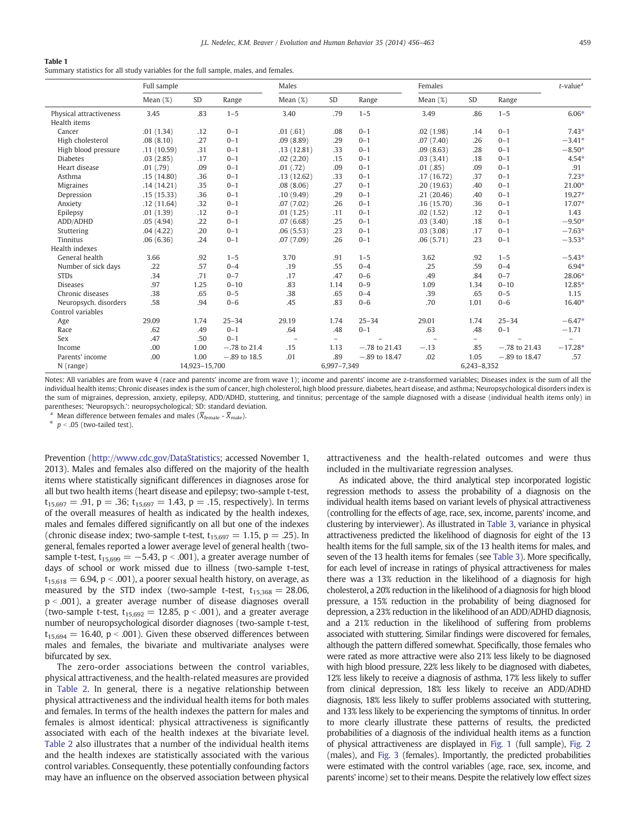#### Table 1

Summary statistics for all study variables for the full sample, males, and females.

|                         | Full sample   |      | Males          |                          |                          | Females         |             |                          | $t$ -value <sup>a</sup> |                          |
|-------------------------|---------------|------|----------------|--------------------------|--------------------------|-----------------|-------------|--------------------------|-------------------------|--------------------------|
|                         | Mean $(\%)$   | SD   | Range          | Mean $(\%)$              | <b>SD</b>                | Range           | Mean $(\%)$ | <b>SD</b>                | Range                   |                          |
| Physical attractiveness | 3.45          | .83  | $1 - 5$        | 3.40                     | .79                      | $1 - 5$         | 3.49        | .86                      | $1 - 5$                 | $6.06*$                  |
| Health items            |               |      |                |                          |                          |                 |             |                          |                         |                          |
| Cancer                  | .01(1.34)     | .12  | $0 - 1$        | .01(.61)                 | .08                      | $0 - 1$         | .02(1.98)   | .14                      | $0 - 1$                 | $7.43*$                  |
| High cholesterol        | .08(8.10)     | .27  | $0 - 1$        | .09(8.89)                | .29                      | $0 - 1$         | .07(7.40)   | .26                      | $0 - 1$                 | $-3.41*$                 |
| High blood pressure     | .11(10.59)    | .31  | $0 - 1$        | .13(12.81)               | .33                      | $0 - 1$         | .09(8.63)   | .28                      | $0 - 1$                 | $-8.50*$                 |
| <b>Diabetes</b>         | .03(2.85)     | .17  | $0 - 1$        | .02(2.20)                | .15                      | $0 - 1$         | .03(3.41)   | .18                      | $0 - 1$                 | $4.54*$                  |
| Heart disease           | .01(.79)      | .09  | $0 - 1$        | .01(.72)                 | .09                      | $0 - 1$         | .01(.85)    | .09                      | $0 - 1$                 | .91                      |
| Asthma                  | .15(14.80)    | .36  | $0 - 1$        | .13(12.62)               | .33                      | $0 - 1$         | .17(16.72)  | .37                      | $0 - 1$                 | $7.23*$                  |
| <b>Migraines</b>        | .14(14.21)    | .35  | $0 - 1$        | .08(8.06)                | .27                      | $0 - 1$         | .20(19.63)  | .40                      | $0 - 1$                 | 21.00*                   |
| Depression              | .15(15.33)    | .36  | $0 - 1$        | .10(9.49)                | .29                      | $0 - 1$         | .21(20.46)  | .40                      | $0 - 1$                 | $19.27*$                 |
| Anxiety                 | .12(11.64)    | .32  | $0 - 1$        | .07(7.02)                | .26                      | $0 - 1$         | .16(15.70)  | .36                      | $0 - 1$                 | 17.07*                   |
| Epilepsy                | .01(1.39)     | .12  | $0 - 1$        | .01(1.25)                | .11                      | $0 - 1$         | .02(1.52)   | .12                      | $0 - 1$                 | 1.43                     |
| ADD/ADHD                | .05(4.94)     | .22  | $0 - 1$        | .07(6.68)                | .25                      | $0 - 1$         | .03(3.40)   | .18                      | $0 - 1$                 | $-9.50*$                 |
| Stuttering              | .04(4.22)     | .20  | $0 - 1$        | .06(5.53)                | .23                      | $0 - 1$         | .03(3.08)   | .17                      | $0 - 1$                 | $-7.63*$                 |
| <b>Tinnitus</b>         | .06(6.36)     | .24  | $0 - 1$        | .07(7.09)                | .26                      | $0 - 1$         | .06(5.71)   | .23                      | $0 - 1$                 | $-3.53*$                 |
| Health indexes          |               |      |                |                          |                          |                 |             |                          |                         |                          |
| General health          | 3.66          | .92  | $1 - 5$        | 3.70                     | .91                      | $1 - 5$         | 3.62        | .92                      | $1 - 5$                 | $-5.43*$                 |
| Number of sick days     | .22           | .57  | $0 - 4$        | .19                      | .55                      | $0 - 4$         | .25         | .59                      | $0 - 4$                 | $6.94*$                  |
| <b>STDs</b>             | .34           | .71  | $0 - 7$        | .17                      | .47                      | $0 - 6$         | .49         | .84                      | $0 - 7$                 | 28.06*                   |
| <b>Diseases</b>         | .97           | 1.25 | $0 - 10$       | .83                      | 1.14                     | $0 - 9$         | 1.09        | 1.34                     | $0 - 10$                | 12.85*                   |
| Chronic diseases        | .38           | .65  | $0 - 5$        | .38                      | .65                      | $0 - 4$         | .39         | .65                      | $0 - 5$                 | 1.15                     |
| Neuropsych, disorders   | .58           | .94  | $0 - 6$        | .45                      | .83                      | $0 - 6$         | .70         | 1.01                     | $0 - 6$                 | 16.40*                   |
| Control variables       |               |      |                |                          |                          |                 |             |                          |                         |                          |
| Age                     | 29.09         | 1.74 | $25 - 34$      | 29.19                    | 1.74                     | $25 - 34$       | 29.01       | 1.74                     | $25 - 34$               | $-6.47*$                 |
| Race                    | .62           | .49  | $0 - 1$        | .64                      | .48                      | $0 - 1$         | .63         | .48                      | $0 - 1$                 | $-1.71$                  |
| Sex                     | .47           | .50  | $0 - 1$        | $\overline{\phantom{m}}$ | $\overline{\phantom{0}}$ |                 |             | $\overline{\phantom{a}}$ |                         | $\overline{\phantom{m}}$ |
| Income                  | .00           | 1.00 | $-.78$ to 21.4 | .15                      | 1.13                     | $-.78$ to 21.43 | $-.13$      | .85                      | $-.78$ to 21.43         | $-17.28*$                |
| Parents' income         | .00           | 1.00 | $-.89$ to 18.5 | .01                      | .89                      | $-.89$ to 18.47 | .02         | 1.05                     | $-.89$ to $18.47$       | .57                      |
| $N$ (range)             | 14,923-15,700 |      |                |                          | 6,997-7,349              |                 |             | 6,243-8,352              |                         |                          |

Notes: All variables are from wave 4 (race and parents' income are from wave 1); income and parents' income are z-transformed variables; Diseases index is the sum of all the individual health items; Chronic diseases index is the sum of cancer, high cholesterol, high blood pressure, diabetes, heart disease, and asthma; Neuropsychological disorders index is the sum of migraines, depression, anxiety, epilepsy, ADD/ADHD, stuttering, and tinnitus; percentage of the sample diagnosed with a disease (individual health items only) in parentheses; 'Neuropsych.': neuropsychological; SD: standard deviation.

Mean difference between females and males ( $\overline{X}_{\text{female}}$  -  $\overline{X}_{\text{male}}$ ).

 $*$   $p < .05$  (two-tailed test).

Prevention (http://www.cdc.gov/DataStatistics; accessed November 1, 2013). Males and females also differed on the majority of the health items where statistically significant differences in diagnoses arose for all but two health items (heart disease and epilepsy; two-sample t-test,  $t_{15,697} = .91$ , p = .36;  $t_{15,697} = 1.43$ , p = .15, respectively). In terms of the overall measures of health as indicated by the health indexes, males and females differed significantly on all but one of the indexes (chronic disease index; two-sample t-test,  $t_{15,697} = 1.15$ , p = .25). In general, females reported a lower average level of general health (twosample t-test,  $t_{15,699} = -5.43$ , p < .001), a greater average number of days of school or work missed due to illness (two-sample t-test,  $t_{15,618} = 6.94$ , p < .001), a poorer sexual health history, on average, as measured by the STD index (two-sample t-test,  $t_{15,368} = 28.06$ ,  $p < .001$ ), a greater average number of disease diagnoses overall (two-sample t-test,  $t_{15,692} = 12.85$ , p < .001), and a greater average number of neuropsychological disorder diagnoses (two-sample t-test,  $t_{15,694} = 16.40$ , p < .001). Given these observed differences between males and females, the bivariate and multivariate analyses were bifurcated by sex.

The zero-order associations between the control variables, physical attractiveness, and the health-related measures are provided in Table 2. In general, there is a negative relationship between physical attractiveness and the individual health items for both males and females. In terms of the health indexes the pattern for males and females is almost identical: physical attractiveness is significantly associated with each of the health indexes at the bivariate level. Table 2 also illustrates that a number of the individual health items and the health indexes are statistically associated with the various control variables. Consequently, these potentially confounding factors may have an influence on the observed association between physical attractiveness and the health-related outcomes and were thus included in the multivariate regression analyses.

As indicated above, the third analytical step incorporated logistic regression methods to assess the probability of a diagnosis on the individual health items based on variant levels of physical attractiveness (controlling for the effects of age, race, sex, income, parents' income, and clustering by interviewer). As illustrated in Table 3, variance in physical attractiveness predicted the likelihood of diagnosis for eight of the 13 health items for the full sample, six of the 13 health items for males, and seven of the 13 health items for females (see Table 3). More specifically, for each level of increase in ratings of physical attractiveness for males there was a 13% reduction in the likelihood of a diagnosis for high cholesterol, a 20% reduction in the likelihood of a diagnosis for high blood pressure, a 15% reduction in the probability of being diagnosed for depression, a 23% reduction in the likelihood of an ADD/ADHD diagnosis, and a 21% reduction in the likelihood of suffering from problems associated with stuttering. Similar findings were discovered for females, although the pattern differed somewhat. Specifically, those females who were rated as more attractive were also 21% less likely to be diagnosed with high blood pressure, 22% less likely to be diagnosed with diabetes, 12% less likely to receive a diagnosis of asthma, 17% less likely to suffer from clinical depression, 18% less likely to receive an ADD/ADHD diagnosis, 18% less likely to suffer problems associated with stuttering, and 13% less likely to be experiencing the symptoms of tinnitus. In order to more clearly illustrate these patterns of results, the predicted probabilities of a diagnosis of the individual health items as a function of physical attractiveness are displayed in Fig. 1 (full sample), Fig. 2 (males), and Fig. 3 (females). Importantly, the predicted probabilities were estimated with the control variables (age, race, sex, income, and parents' income) set to their means. Despite the relatively low effect sizes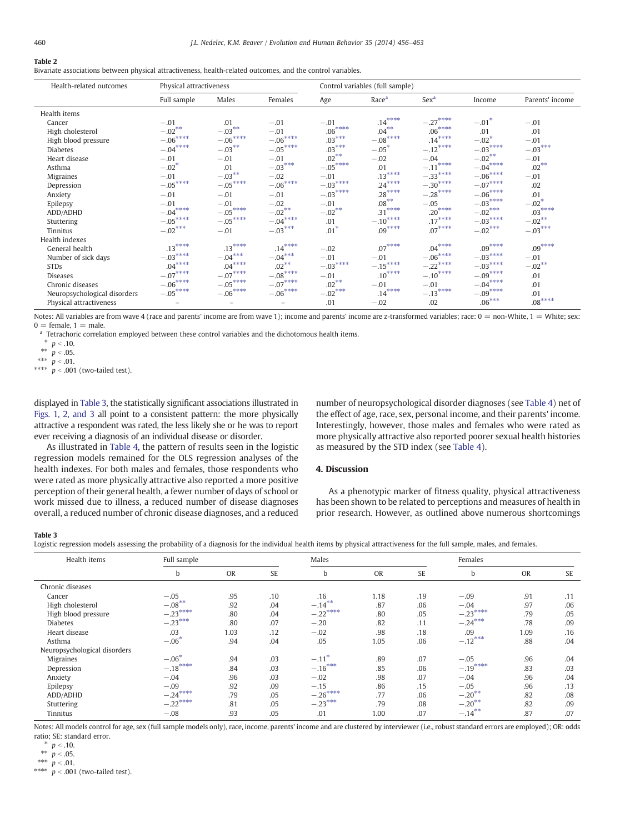# Table 2

Bivariate associations between physical attractiveness, health-related outcomes, and the control variables.

| Health-related outcomes      | Physical attractiveness |                          |           | Control variables (full sample) |                   |                  |           |                 |  |
|------------------------------|-------------------------|--------------------------|-----------|---------------------------------|-------------------|------------------|-----------|-----------------|--|
|                              | Full sample             | Males                    | Females   | Age                             | Race <sup>a</sup> | Sex <sup>a</sup> | Income    | Parents' income |  |
| Health items                 |                         |                          |           |                                 |                   |                  |           |                 |  |
| Cancer                       | $-.01$                  | .01                      | $-.01$    | $-.01$                          | $.14***$          | $-.27***$        | $-.01*$   | $-.01$          |  |
| High cholesterol             | $-.02***$               | $-.03***$                | $-.01$    | $.06***$                        | $.04***$          | $.06***$         | .01       | .01             |  |
| High blood pressure          | $-.06***$               | $-.06***$                | $-.06***$ | $.03***$                        | $-.08***$         | $.14***$         | $-.02*$   | $-.01$          |  |
| <b>Diabetes</b>              | $-.04***$               | $-.03***$                | $-.05***$ | $.03***$                        | $-.05*$           | $-.12***$        | $-.03***$ | $-.03***$       |  |
| Heart disease                | $-.01$                  | $-.01$                   | $-.01$    | $.02***$                        | $-.02$            | $-.04$           | $-.02***$ | $-.01$          |  |
| Asthma                       | $-.02*$                 | .01                      | $-.03***$ | $-.05***$                       | .01               | ****<br>$-.11$   | $-.04***$ | $.02***$        |  |
| <b>Migraines</b>             | $-.01$                  | $-.03***$                | $-.02$    | $-.01$                          | $.13***$          | $-.33***$        | $-.06***$ | $-.01$          |  |
| Depression                   | $-.05***$               | $-.05***$                | $-.06***$ | $-.03***$                       | $.24***$          | $-.30***$        | $-.07***$ | .02             |  |
| Anxiety                      | $-.01$                  | $-.01$                   | $-.01$    | $-.03***$                       | $.28***$          | $-.28$ ****      | $-.06***$ | .01             |  |
| Epilepsy                     | $-.01$                  | $-.01$                   | $-.02$    | $-.01$                          | $.08***$          | $-.05$           | $-.03***$ | $-.02*$         |  |
| ADD/ADHD                     | $-.04***$               | $-.05***$                | $-.02***$ | $-.02***$                       | ****<br>.31       | $.20***$         | $-.02***$ | $.03***$        |  |
| Stuttering                   | $-.05***$               | $-.05***$                | $-.04***$ | .01                             | $-.10$ ****       | $.17***$         | $-.03***$ | $-.02***$       |  |
| Tinnitus                     | $-.02***$               | $-.01$                   | $-.03***$ | $.01*$                          | $.09***$          | $.07***$         | $-.02***$ | $-.03***$       |  |
| Health indexes               |                         |                          |           |                                 |                   |                  |           |                 |  |
| General health               | $.13***$                | $.13***$                 | $.14***$  | $-.02$                          | $.07***$          | $.04***$         | $.09***$  | $.09***$        |  |
| Number of sick days          | $-.03***$               | $-.04***$                | $-.04***$ | $-.01$                          | $-.01$            | $-.06***$        | $-.03***$ | $-.01$          |  |
| <b>STDs</b>                  | $.04***$                | $.04***$                 | $.02***$  | $-.03***$                       | $-.15***$         | $-.22***$        | $-.03***$ | $-.02***$       |  |
| <b>Diseases</b>              | $-.07***$               | $-.07***$                | $-.08***$ | $-.01$                          | $.10***$          | $-.10***$        | $-.09***$ | .01             |  |
| Chronic diseases             | $-.06***$               | $-.05***$                | $-.07***$ | $.02$ **                        | $-.01$            | $-.01$           | $-.04***$ | .01             |  |
| Neuropsychological disorders | $-.05***$               | $-.06***$                | $-.06***$ | $-.02***$                       | $.14***$          | $-.13***$        | $-.09***$ | .01             |  |
| Physical attractiveness      |                         | $\overline{\phantom{0}}$ |           | .01                             | $-.02$            | .02              | $.06***$  | $.08***$        |  |

Notes: All variables are from wave 4 (race and parents' income are from wave 1); income and parents' income are z-transformed variables; race:  $0 =$  non-White,  $1 =$  White; sex:  $0 =$  female,  $1 =$  male.

<sup>a</sup> Tetrachoric correlation employed between these control variables and the dichotomous health items.

\*\*\*  $p < .01$ .

\*\*\*\*  $p < .001$  (two-tailed test).

displayed in Table 3, the statistically significant associations illustrated in Figs. 1, 2, and 3 all point to a consistent pattern: the more physically attractive a respondent was rated, the less likely she or he was to report ever receiving a diagnosis of an individual disease or disorder.

As illustrated in Table 4, the pattern of results seen in the logistic regression models remained for the OLS regression analyses of the health indexes. For both males and females, those respondents who were rated as more physically attractive also reported a more positive perception of their general health, a fewer number of days of school or work missed due to illness, a reduced number of disease diagnoses overall, a reduced number of chronic disease diagnoses, and a reduced number of neuropsychological disorder diagnoses (see Table 4) net of the effect of age, race, sex, personal income, and their parents' income. Interestingly, however, those males and females who were rated as more physically attractive also reported poorer sexual health histories as measured by the STD index (see Table 4).

# 4. Discussion

As a phenotypic marker of fitness quality, physical attractiveness has been shown to be related to perceptions and measures of health in prior research. However, as outlined above numerous shortcomings

#### Table 3

Logistic regression models assessing the probability of a diagnosis for the individual health items by physical attractiveness for the full sample, males, and females.

| Health items                 | Full sample |           |           | Males                 |           |           | Females    |           |           |
|------------------------------|-------------|-----------|-----------|-----------------------|-----------|-----------|------------|-----------|-----------|
|                              | b           | <b>OR</b> | <b>SE</b> | b                     | <b>OR</b> | <b>SE</b> | b          | <b>OR</b> | <b>SE</b> |
| Chronic diseases             |             |           |           |                       |           |           |            |           |           |
| Cancer                       | $-.05$      | .95       | .10       | .16                   | 1.18      | .19       | $-.09$     | .91       | .11       |
| High cholesterol             | $-.08***$   | .92       | .04       | $-.14***$             | .87       | .06       | $-.04$     | .97       | .06       |
| High blood pressure          | $-.23***$   | .80       | .04       | $-22$ <sup>****</sup> | .80       | .05       | $-23***$   | .79       | .05       |
| <b>Diabetes</b>              | $-.23***$   | .80       | .07       | $-.20$                | .82       | .11       | $-24***$   | .78       | .09       |
| Heart disease                | .03         | 1.03      | .12       | $-.02$                | .98       | .18       | .09        | 1.09      | .16       |
| Asthma                       | $-.06*$     | .94       | .04       | .05                   | 1.05      | .06       | $-.12***$  | .88       | .04       |
| Neuropsychological disorders |             |           |           |                       |           |           |            |           |           |
| <b>Migraines</b>             | $-.06*$     | .94       | .03       | $-.11$                | .89       | .07       | $-.05$     | .96       | .04       |
| Depression                   | $-.18***$   | .84       | .03       | $-.16***$             | .85       | .06       | $-.19***$  | .83       | .03       |
| Anxiety                      | $-.04$      | .96       | .03       | $-.02$                | .98       | .07       | $-.04$     | .96       | .04       |
| Epilepsy                     | $-.09$      | .92       | .09       | $-.15$                | .86       | .15       | $-.05$     | .96       | .13       |
| ADD/ADHD                     | $-24***$    | .79       | .05       | $-26***$              | .77       | .06       | $-20^{**}$ | .82       | .08       |
| Stuttering                   | $-.22***$   | .81       | .05       | $-23***$              | .79       | .08       | $-20**$    | .82       | .09       |
| Tinnitus                     | $-.08$      | .93       | .05       | .01                   | 1.00      | .07       | $-.14***$  | .87       | .07       |

Notes: All models control for age, sex (full sample models only), race, income, parents' income and are clustered by interviewer (i.e., robust standard errors are employed); OR: odds ratio; SE: standard error.

 $p < .10$ .

\*\*  $p < .05$ .

\*\*\*  $p < .01$ .

 $***\stackrel{\cdot}{p}$  < .001 (two-tailed test).

 $p < .10$ .

<sup>\*\*</sup>  $p < .05$ .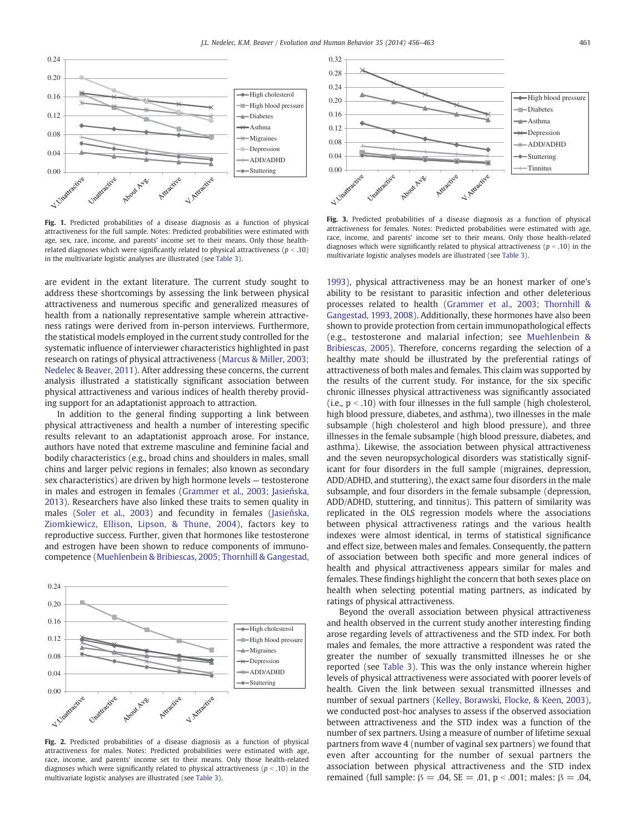

Fig. 1. Predicted probabilities of a disease diagnosis as a function of physical attractiveness for the full sample. Notes: Predicted probabilities were estimated with age, sex, race, income, and parents' income set to their means. Only those healthrelated diagnoses which were significantly related to physical attractiveness ( $p < .10$ ) in the multivariate logistic analyses are illustrated (see Table 3).

are evident in the extant literature. The current study sought to address these shortcomings by assessing the link between physical attractiveness and numerous specific and generalized measures of health from a nationally representative sample wherein attractiveness ratings were derived from in-person interviews. Furthermore, the statistical models employed in the current study controlled for the systematic influence of interviewer characteristics highlighted in past research on ratings of physical attractiveness (Marcus & Miller, 2003; Nedelec & Beaver, 2011). After addressing these concerns, the current analysis illustrated a statistically significant association between physical attractiveness and various indices of health thereby providing support for an adaptationist approach to attraction.

In addition to the general finding supporting a link between physical attractiveness and health a number of interesting specific results relevant to an adaptationist approach arose. For instance, authors have noted that extreme masculine and feminine facial and bodily characteristics (e.g., broad chins and shoulders in males, small chins and larger pelvic regions in females; also known as secondary sex characteristics) are driven by high hormone levels — testosterone in males and estrogen in females (Grammer et al., 2003; Jasieńska, 2013). Researchers have also linked these traits to semen quality in males (Soler et al., 2003) and fecundity in females (Jasieńska, Ziomkiewicz, Ellison, Lipson, & Thune, 2004), factors key to reproductive success. Further, given that hormones like testosterone and estrogen have been shown to reduce components of immunocompetence (Muehlenbein & Bribiescas, 2005; Thornhill & Gangestad,



Fig. 2. Predicted probabilities of a disease diagnosis as a function of physical attractiveness for males. Notes: Predicted probabilities were estimated with age, race, income, and parents' income set to their means. Only those health-related diagnoses which were significantly related to physical attractiveness  $(p < .10)$  in the multivariate logistic analyses are illustrated (see Table 3).



Fig. 3. Predicted probabilities of a disease diagnosis as a function of physical attractiveness for females. Notes: Predicted probabilities were estimated with age, race, income, and parents' income set to their means. Only those health-related diagnoses which were significantly related to physical attractiveness ( $p < .10$ ) in the multivariate logistic analyses models are illustrated (see Table 3).

1993), physical attractiveness may be an honest marker of one's ability to be resistant to parasitic infection and other deleterious processes related to health (Grammer et al., 2003; Thornhill & Gangestad, 1993, 2008). Additionally, these hormones have also been shown to provide protection from certain immunopathological effects (e.g., testosterone and malarial infection; see Muehlenbein & Bribiescas, 2005). Therefore, concerns regarding the selection of a healthy mate should be illustrated by the preferential ratings of attractiveness of both males and females. This claim was supported by the results of the current study. For instance, for the six specific chronic illnesses physical attractiveness was significantly associated (i.e.,  $p < .10$ ) with four illnesses in the full sample (high cholesterol, high blood pressure, diabetes, and asthma), two illnesses in the male subsample (high cholesterol and high blood pressure), and three illnesses in the female subsample (high blood pressure, diabetes, and asthma). Likewise, the association between physical attractiveness and the seven neuropsychological disorders was statistically significant for four disorders in the full sample (migraines, depression, ADD/ADHD, and stuttering), the exact same four disorders in the male subsample, and four disorders in the female subsample (depression, ADD/ADHD, stuttering, and tinnitus). This pattern of similarity was replicated in the OLS regression models where the associations between physical attractiveness ratings and the various health indexes were almost identical, in terms of statistical significance and effect size, between males and females. Consequently, the pattern of association between both specific and more general indices of health and physical attractiveness appears similar for males and females. These findings highlight the concern that both sexes place on health when selecting potential mating partners, as indicated by ratings of physical attractiveness.

Beyond the overall association between physical attractiveness and health observed in the current study another interesting finding arose regarding levels of attractiveness and the STD index. For both males and females, the more attractive a respondent was rated the greater the number of sexually transmitted illnesses he or she reported (see Table 3). This was the only instance wherein higher levels of physical attractiveness were associated with poorer levels of health. Given the link between sexual transmitted illnesses and number of sexual partners (Kelley, Borawski, Flocke, & Keen, 2003), we conducted post-hoc analyses to assess if the observed association between attractiveness and the STD index was a function of the number of sex partners. Using a measure of number of lifetime sexual partners from wave 4 (number of vaginal sex partners) we found that even after accounting for the number of sexual partners the association between physical attractiveness and the STD index remained (full sample:  $β = .04$ ,  $SE = .01$ ,  $p < .001$ ; males:  $β = .04$ ,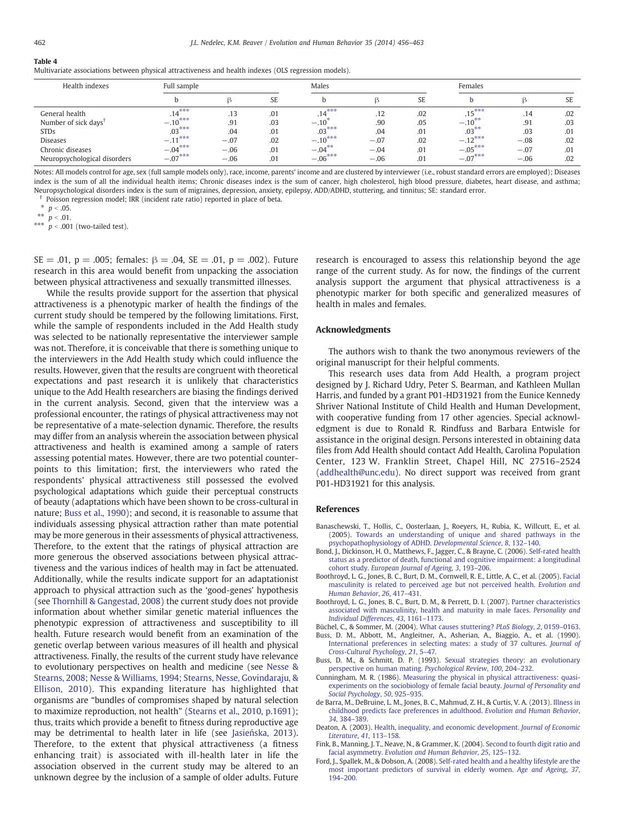# Table 4

Multivariate associations between physical attractiveness and health indexes (OLS regression models).

| Health indexes                   | Full sample |        |           | Males      |        |           | Females     |        |           |
|----------------------------------|-------------|--------|-----------|------------|--------|-----------|-------------|--------|-----------|
|                                  |             |        | <b>SE</b> |            |        | <b>SE</b> |             |        | <b>SE</b> |
| General health                   | $.14***$    | .13    | .01       | $.14***$   | .12    | .02       | $.15***$    | .14    | .02       |
| Number of sick days <sup>†</sup> | $-.10***$   | .91    | .03       | $-.10^{7}$ | .90    | .05       | $-.10^{**}$ | .91    | .03       |
| <b>STDs</b>                      | $.03***$    | .04    | .01       | $.03***$   | .04    | .01       | $.03***$    | .03    | .01       |
| <b>Diseases</b>                  | $-.11***$   | $-.07$ | .02       | $-.10***$  | $-.07$ | .02       | $-.12***$   | $-.08$ | .02       |
| Chronic diseases                 | $-.04***$   | $-.06$ | .01       | $-.04***$  | $-.04$ | .01       | $-.05***$   | $-.07$ | .01       |
| Neuropsychological disorders     | $-.07***$   | $-.06$ | .01       | $-.06***$  | $-.06$ | .01       | $-.07***$   | $-.06$ | .02       |

Notes: All models control for age, sex (full sample models only), race, income, parents' income and are clustered by interviewer (i.e., robust standard errors are employed); Diseases index is the sum of all the individual health items; Chronic diseases index is the sum of cancer, high cholesterol, high blood pressure, diabetes, heart disease, and asthma; Neuropsychological disorders index is the sum of migraines, depression, anxiety, epilepsy, ADD/ADHD, stuttering, and tinnitus; SE: standard error.

† Poisson regression model; IRR (incident rate ratio) reported in place of beta.

 $*$   $p < .05$ .

\*\*  $p < .01$ .

\*\*\*  $p < .001$  (two-tailed test).

SE = .01, p = .005; females:  $\beta$  = .04, SE = .01, p = .002). Future research in this area would benefit from unpacking the association between physical attractiveness and sexually transmitted illnesses.

While the results provide support for the assertion that physical attractiveness is a phenotypic marker of health the findings of the current study should be tempered by the following limitations. First, while the sample of respondents included in the Add Health study was selected to be nationally representative the interviewer sample was not. Therefore, it is conceivable that there is something unique to the interviewers in the Add Health study which could influence the results. However, given that the results are congruent with theoretical expectations and past research it is unlikely that characteristics unique to the Add Health researchers are biasing the findings derived in the current analysis. Second, given that the interview was a professional encounter, the ratings of physical attractiveness may not be representative of a mate-selection dynamic. Therefore, the results may differ from an analysis wherein the association between physical attractiveness and health is examined among a sample of raters assessing potential mates. However, there are two potential counterpoints to this limitation; first, the interviewers who rated the respondents' physical attractiveness still possessed the evolved psychological adaptations which guide their perceptual constructs of beauty (adaptations which have been shown to be cross-cultural in nature; Buss et al., 1990); and second, it is reasonable to assume that individuals assessing physical attraction rather than mate potential may be more generous in their assessments of physical attractiveness. Therefore, to the extent that the ratings of physical attraction are more generous the observed associations between physical attractiveness and the various indices of health may in fact be attenuated. Additionally, while the results indicate support for an adaptationist approach to physical attraction such as the 'good-genes' hypothesis (see Thornhill & Gangestad, 2008) the current study does not provide information about whether similar genetic material influences the phenotypic expression of attractiveness and susceptibility to ill health. Future research would benefit from an examination of the genetic overlap between various measures of ill health and physical attractiveness. Finally, the results of the current study have relevance to evolutionary perspectives on health and medicine (see Nesse & Stearns, 2008; Nesse & Williams, 1994; Stearns, Nesse, Govindaraju, & Ellison, 2010). This expanding literature has highlighted that organisms are "bundles of compromises shaped by natural selection to maximize reproduction, not health" (Stearns et al., 2010, p.1691); thus, traits which provide a benefit to fitness during reproductive age may be detrimental to health later in life (see Jasieńska, 2013). Therefore, to the extent that physical attractiveness (a fitness enhancing trait) is associated with ill-health later in life the association observed in the current study may be altered to an unknown degree by the inclusion of a sample of older adults. Future research is encouraged to assess this relationship beyond the age range of the current study. As for now, the findings of the current analysis support the argument that physical attractiveness is a phenotypic marker for both specific and generalized measures of health in males and females.

#### Acknowledgments

The authors wish to thank the two anonymous reviewers of the original manuscript for their helpful comments.

This research uses data from Add Health, a program project designed by J. Richard Udry, Peter S. Bearman, and Kathleen Mullan Harris, and funded by a grant P01-HD31921 from the Eunice Kennedy Shriver National Institute of Child Health and Human Development, with cooperative funding from 17 other agencies. Special acknowledgment is due to Ronald R. Rindfuss and Barbara Entwisle for assistance in the original design. Persons interested in obtaining data files from Add Health should contact Add Health, Carolina Population Center, 123 W. Franklin Street, Chapel Hill, NC 27516–2524 (addhealth@unc.edu). No direct support was received from grant P01-HD31921 for this analysis.

#### References

- Banaschewski, T., Hollis, C., Oosterlaan, J., Roeyers, H., Rubia, K., Willcutt, E., et al. (2005). Towards an understanding of unique and shared pathways in the psychopathophysiology of ADHD. *Developmental Science*, *8*, 132–140.
- Bond, J., Dickinson, H. O., Matthews, F., Jagger, C., & Brayne, C. (2006). Self-rated health status as a predictor of death, functional and cognitive impairment: a longitudinal cohort study. *European Journal of Ageing*, *3*, 193–206.
- Boothroyd, L. G., Jones, B. C., Burt, D. M., Cornwell, R. E., Little, A. C., et al. (2005). Facial masculinity is related to perceived age but not perceived health. *Evolution and Human Behavior*, *26*, 417–431.
- Boothroyd, L. G., Jones, B. C., Burt, D. M., & Perrett, D. I. (2007). Partner characteristics associated with masculinity, health and maturity in male faces. *Personality and Individual Differences*, *43*, 1161–1173.

Büchel, C., & Sommer, M. (2004). What causes stuttering? *PLoS Biology*, *2*, 0159–0163.

- Buss, D. M., Abbott, M., Angleitner, A., Asherian, A., Biaggio, A., et al. (1990). International preferences in selecting mates: a study of 37 cultures. *Journal of Cross-Cultural Psychology*, *21*, 5–47.
- Buss, D. M., & Schmitt, D. P. (1993). Sexual strategies theory: an evolutionary perspective on human mating. *Psychological Review*, *100*, 204–232.
- Cunningham, M. R. (1986). Measuring the physical in physical attractiveness: quasiexperiments on the sociobiology of female facial beauty. *Journal of Personality and Social Psychology*, *50*, 925–935.
- de Barra, M., DeBruine, L. M., Jones, B. C., Mahmud, Z. H., & Curtis, V. A. (2013). Illness in childhood predicts face preferences in adulthood. *Evolution and Human Behavior*, *34*, 384–389.
- Deaton, A. (2003). Health, inequality, and economic development. *Journal of Economic Literature*, *41*, 113–158.
- Fink, B., Manning, J. T., Neave, N., & Grammer, K. (2004). Second to fourth digit ratio and facial asymmetry. *Evolution and Human Behavior*, *25*, 125–132.
- Ford, J., Spallek, M., & Dobson, A. (2008). Self-rated health and a healthy lifestyle are the most important predictors of survival in elderly women. *Age and Ageing*, *37*, 194–200.